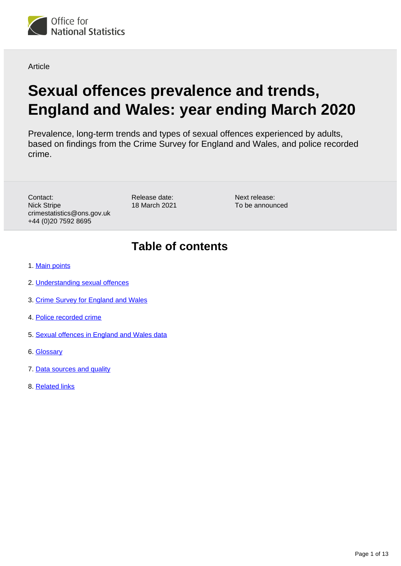

Article

# **Sexual offences prevalence and trends, England and Wales: year ending March 2020**

Prevalence, long-term trends and types of sexual offences experienced by adults, based on findings from the Crime Survey for England and Wales, and police recorded crime.

Contact: Nick Stripe crimestatistics@ons.gov.uk +44 (0)20 7592 8695

Release date: 18 March 2021 Next release: To be announced

## **Table of contents**

- 1. [Main points](#page-1-0)
- 2. [Understanding sexual offences](#page-1-1)
- 3. [Crime Survey for England and Wales](#page-1-2)
- 4. [Police recorded crime](#page-6-0)
- 5. [Sexual offences in England and Wales data](#page-8-0)
- 6. [Glossary](#page-8-1)
- 7. [Data sources and quality](#page-9-0)
- 8. [Related links](#page-12-0)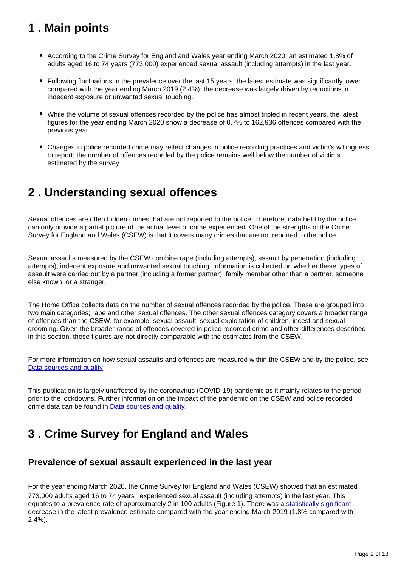## <span id="page-1-0"></span>**1 . Main points**

- According to the Crime Survey for England and Wales year ending March 2020, an estimated 1.8% of adults aged 16 to 74 years (773,000) experienced sexual assault (including attempts) in the last year.
- Following fluctuations in the prevalence over the last 15 years, the latest estimate was significantly lower compared with the year ending March 2019 (2.4%); the decrease was largely driven by reductions in indecent exposure or unwanted sexual touching.
- While the volume of sexual offences recorded by the police has almost tripled in recent years, the latest figures for the year ending March 2020 show a decrease of 0.7% to 162,936 offences compared with the previous year.
- Changes in police recorded crime may reflect changes in police recording practices and victim's willingness to report; the number of offences recorded by the police remains well below the number of victims estimated by the survey.

## <span id="page-1-1"></span>**2 . Understanding sexual offences**

Sexual offences are often hidden crimes that are not reported to the police. Therefore, data held by the police can only provide a partial picture of the actual level of crime experienced. One of the strengths of the Crime Survey for England and Wales (CSEW) is that it covers many crimes that are not reported to the police.

Sexual assaults measured by the CSEW combine rape (including attempts), assault by penetration (including attempts), indecent exposure and unwanted sexual touching. Information is collected on whether these types of assault were carried out by a partner (including a former partner), family member other than a partner, someone else known, or a stranger.

The Home Office collects data on the number of sexual offences recorded by the police. These are grouped into two main categories; rape and other sexual offences. The other sexual offences category covers a broader range of offences than the CSEW, for example, sexual assault, sexual exploitation of children, incest and sexual grooming. Given the broader range of offences covered in police recorded crime and other differences described in this section, these figures are not directly comparable with the estimates from the CSEW.

For more information on how sexual assaults and offences are measured within the CSEW and by the police, see [Data sources and quality.](https://www.ons.gov.uk/peoplepopulationandcommunity/crimeandjustice/articles/sexualoffencesvictimcharacteristicsenglandandwales/march2020)

This publication is largely unaffected by the coronavirus (COVID-19) pandemic as it mainly relates to the period prior to the lockdowns. Further information on the impact of the pandemic on the CSEW and police recorded crime data can be found in **Data sources and quality**.

## <span id="page-1-2"></span>**3 . Crime Survey for England and Wales**

### **Prevalence of sexual assault experienced in the last year**

For the year ending March 2020, the Crime Survey for England and Wales (CSEW) showed that an estimated 773,000 adults aged 16 to 74 years<sup>1</sup> experienced sexual assault (including attempts) in the last year. This equates to a prevalence rate of approximately 2 in 100 adults (Figure 1). There was a [statistically significant](https://www.ons.gov.uk/peoplepopulationandcommunity/crimeandjustice/articles/sexualoffencesprevalenceandtrendsenglandandwales/yearendingmarch2020#data-sources-and-quality) decrease in the latest prevalence estimate compared with the year ending March 2019 (1.8% compared with 2.4%).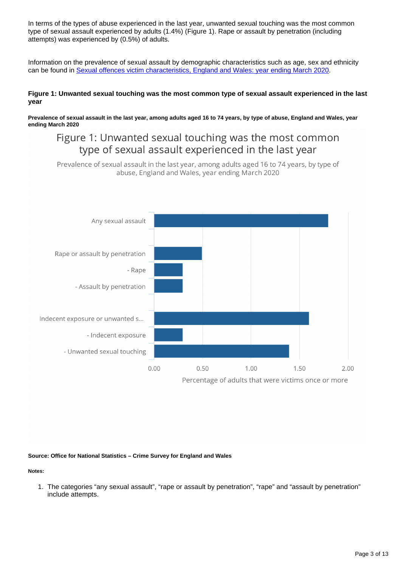In terms of the types of abuse experienced in the last year, unwanted sexual touching was the most common type of sexual assault experienced by adults (1.4%) (Figure 1). Rape or assault by penetration (including attempts) was experienced by (0.5%) of adults.

Information on the prevalence of sexual assault by demographic characteristics such as age, sex and ethnicity can be found in [Sexual offences victim characteristics, England and Wales: year ending March 2020](https://www.ons.gov.uk/peoplepopulationandcommunity/crimeandjustice/articles/sexualoffencesvictimcharacteristicsenglandandwales/march2020).

#### **Figure 1: Unwanted sexual touching was the most common type of sexual assault experienced in the last year**

**Prevalence of sexual assault in the last year, among adults aged 16 to 74 years, by type of abuse, England and Wales, year ending March 2020**

## Figure 1: Unwanted sexual touching was the most common type of sexual assault experienced in the last year

Prevalence of sexual assault in the last year, among adults aged 16 to 74 years, by type of abuse, England and Wales, year ending March 2020



#### **Source: Office for National Statistics – Crime Survey for England and Wales**

**Notes:**

1. The categories "any sexual assault", "rape or assault by penetration", "rape" and "assault by penetration" include attempts.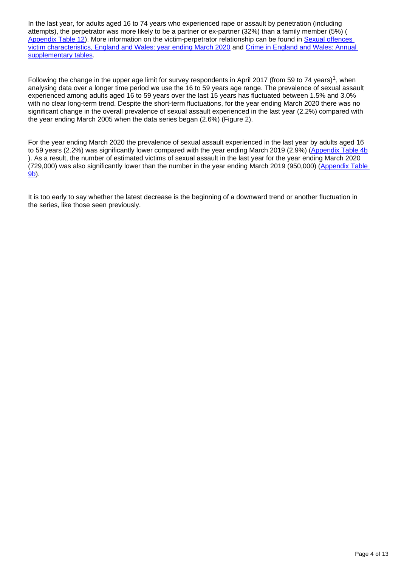In the last year, for adults aged 16 to 74 years who experienced rape or assault by penetration (including attempts), the perpetrator was more likely to be a partner or ex-partner (32%) than a family member (5%) ( [Appendix Table 12](https://www.ons.gov.uk/peoplepopulationandcommunity/crimeandjustice/datasets/sexualoffencesprevalenceandvictimcharacteristicsenglandandwales)). More information on the victim-perpetrator relationship can be found in [Sexual offences](https://www.ons.gov.uk/peoplepopulationandcommunity/crimeandjustice/articles/sexualoffencesvictimcharacteristicsenglandandwales/march2020)  [victim characteristics, England and Wales: year ending March 2020](https://www.ons.gov.uk/peoplepopulationandcommunity/crimeandjustice/articles/sexualoffencesvictimcharacteristicsenglandandwales/march2020) and [Crime in England and Wales: Annual](https://www.ons.gov.uk/peoplepopulationandcommunity/crimeandjustice/datasets/crimeinenglandandwalesannualsupplementarytables)  [supplementary tables.](https://www.ons.gov.uk/peoplepopulationandcommunity/crimeandjustice/datasets/crimeinenglandandwalesannualsupplementarytables)

Following the change in the upper age limit for survey respondents in April 2017 (from 59 to 74 years)<sup>1</sup>, when analysing data over a longer time period we use the 16 to 59 years age range. The prevalence of sexual assault experienced among adults aged 16 to 59 years over the last 15 years has fluctuated between 1.5% and 3.0% with no clear long-term trend. Despite the short-term fluctuations, for the year ending March 2020 there was no significant change in the overall prevalence of sexual assault experienced in the last year (2.2%) compared with the year ending March 2005 when the data series began (2.6%) (Figure 2).

For the year ending March 2020 the prevalence of sexual assault experienced in the last year by adults aged 16 to 59 years (2.2%) was significantly lower compared with the year ending March 2019 (2.9%) ([Appendix Table 4b](https://www.ons.gov.uk/peoplepopulationandcommunity/crimeandjustice/datasets/sexualoffencesprevalenceandvictimcharacteristicsenglandandwales) ). As a result, the number of estimated victims of sexual assault in the last year for the year ending March 2020 (729,000) was also significantly lower than the number in the year ending March 2019 (950,000) ([Appendix Table](https://www.ons.gov.uk/peoplepopulationandcommunity/crimeandjustice/datasets/sexualoffencesprevalenceandvictimcharacteristicsenglandandwales)  [9b](https://www.ons.gov.uk/peoplepopulationandcommunity/crimeandjustice/datasets/sexualoffencesprevalenceandvictimcharacteristicsenglandandwales)).

It is too early to say whether the latest decrease is the beginning of a downward trend or another fluctuation in the series, like those seen previously.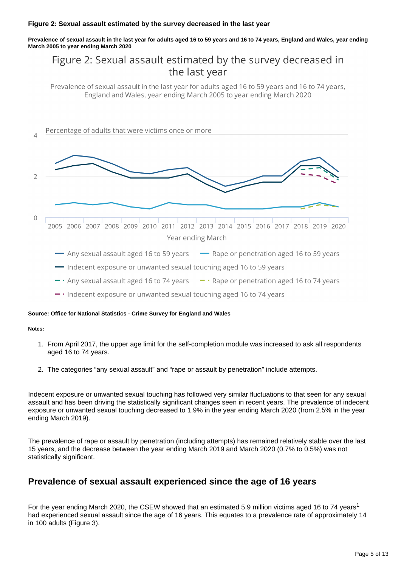#### **Figure 2: Sexual assault estimated by the survey decreased in the last year**

**Prevalence of sexual assault in the last year for adults aged 16 to 59 years and 16 to 74 years, England and Wales, year ending March 2005 to year ending March 2020**

## Figure 2: Sexual assault estimated by the survey decreased in the last year

Prevalence of sexual assault in the last year for adults aged 16 to 59 years and 16 to 74 years, England and Wales, year ending March 2005 to year ending March 2020



- 
- $-$  · Indecent exposure or unwanted sexual touching aged 16 to 74 years

#### **Source: Office for National Statistics - Crime Survey for England and Wales**

#### **Notes:**

- 1. From April 2017, the upper age limit for the self-completion module was increased to ask all respondents aged 16 to 74 years.
- 2. The categories "any sexual assault" and "rape or assault by penetration" include attempts.

Indecent exposure or unwanted sexual touching has followed very similar fluctuations to that seen for any sexual assault and has been driving the statistically significant changes seen in recent years. The prevalence of indecent exposure or unwanted sexual touching decreased to 1.9% in the year ending March 2020 (from 2.5% in the year ending March 2019).

The prevalence of rape or assault by penetration (including attempts) has remained relatively stable over the last 15 years, and the decrease between the year ending March 2019 and March 2020 (0.7% to 0.5%) was not statistically significant.

### **Prevalence of sexual assault experienced since the age of 16 years**

For the year ending March 2020, the CSEW showed that an estimated 5.9 million victims aged 16 to 74 years<sup>1</sup> had experienced sexual assault since the age of 16 years. This equates to a prevalence rate of approximately 14 in 100 adults (Figure 3).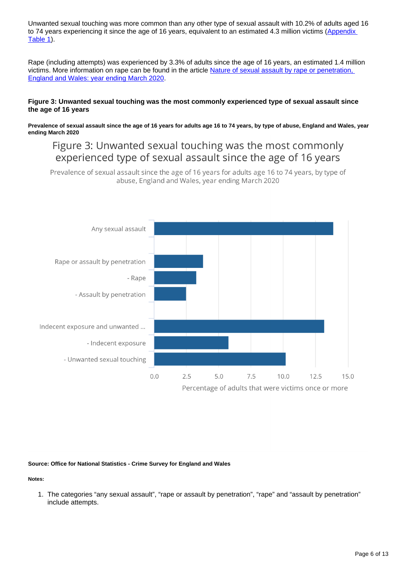Unwanted sexual touching was more common than any other type of sexual assault with 10.2% of adults aged 16 to 74 years experiencing it since the age of 16 years, equivalent to an estimated 4.3 million victims (Appendix [Table 1\)](https://www.ons.gov.uk/peoplepopulationandcommunity/crimeandjustice/datasets/sexualoffencesprevalenceandvictimcharacteristicsenglandandwales).

Rape (including attempts) was experienced by 3.3% of adults since the age of 16 years, an estimated 1.4 million victims. More information on rape can be found in the article [Nature of sexual assault by rape or penetration,](https://www.ons.gov.uk/peoplepopulationandcommunity/crimeandjustice/articles/natureofsexualassaultbyrapeorpenetrationenglandandwales/yearendingmarch2020)  [England and Wales: year ending March 2020.](https://www.ons.gov.uk/peoplepopulationandcommunity/crimeandjustice/articles/natureofsexualassaultbyrapeorpenetrationenglandandwales/yearendingmarch2020)

#### **Figure 3: Unwanted sexual touching was the most commonly experienced type of sexual assault since the age of 16 years**

**Prevalence of sexual assault since the age of 16 years for adults age 16 to 74 years, by type of abuse, England and Wales, year ending March 2020**

## Figure 3: Unwanted sexual touching was the most commonly experienced type of sexual assault since the age of 16 years

Prevalence of sexual assault since the age of 16 years for adults age 16 to 74 years, by type of abuse, England and Wales, year ending March 2020



#### **Source: Office for National Statistics - Crime Survey for England and Wales**

**Notes:**

1. The categories "any sexual assault", "rape or assault by penetration", "rape" and "assault by penetration" include attempts.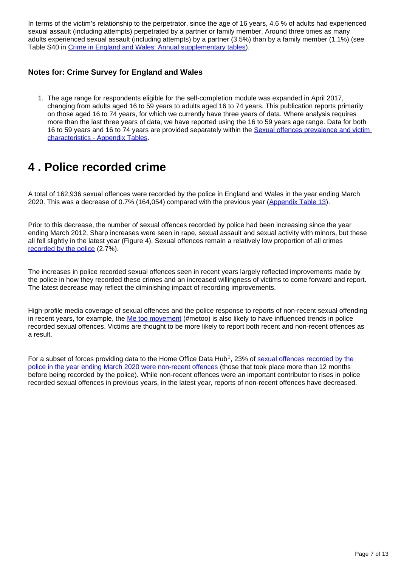In terms of the victim's relationship to the perpetrator, since the age of 16 years, 4.6 % of adults had experienced sexual assault (including attempts) perpetrated by a partner or family member. Around three times as many adults experienced sexual assault (including attempts) by a partner (3.5%) than by a family member (1.1%) (see Table S40 in [Crime in England and Wales: Annual supplementary tables\)](https://www.ons.gov.uk/peoplepopulationandcommunity/crimeandjustice/datasets/crimeinenglandandwalesannualsupplementarytables).

#### **Notes for: Crime Survey for England and Wales**

1. The age range for respondents eligible for the self-completion module was expanded in April 2017, changing from adults aged 16 to 59 years to adults aged 16 to 74 years. This publication reports primarily on those aged 16 to 74 years, for which we currently have three years of data. Where analysis requires more than the last three years of data, we have reported using the 16 to 59 years age range. Data for both 16 to 59 years and 16 to 74 years are provided separately within the Sexual offences prevalence and victim [characteristics - Appendix Tables](https://www.ons.gov.uk/peoplepopulationandcommunity/crimeandjustice/datasets/sexualoffencesprevalenceandvictimcharacteristicsenglandandwales).

## <span id="page-6-0"></span>**4 . Police recorded crime**

A total of 162,936 sexual offences were recorded by the police in England and Wales in the year ending March 2020. This was a decrease of 0.7% (164,054) compared with the previous year ([Appendix Table 13](https://www.ons.gov.uk/peoplepopulationandcommunity/crimeandjustice/datasets/sexualoffencesprevalenceandvictimcharacteristicsenglandandwales)).

Prior to this decrease, the number of sexual offences recorded by police had been increasing since the year ending March 2012. Sharp increases were seen in rape, sexual assault and sexual activity with minors, but these all fell slightly in the latest year (Figure 4). Sexual offences remain a relatively low proportion of all crimes [recorded by the police](https://www.ons.gov.uk/peoplepopulationandcommunity/crimeandjustice/datasets/crimeinenglandandwalesappendixtables) (2.7%).

The increases in police recorded sexual offences seen in recent years largely reflected improvements made by the police in how they recorded these crimes and an increased willingness of victims to come forward and report. The latest decrease may reflect the diminishing impact of recording improvements.

High-profile media coverage of sexual offences and the police response to reports of non-recent sexual offending in recent years, for example, the [Me too movement](https://metoomvmt.org/) (#metoo) is also likely to have influenced trends in police recorded sexual offences. Victims are thought to be more likely to report both recent and non-recent offences as a result.

For a subset of forces providing data to the Home Office Data Hub<sup>1</sup>, 23% of sexual offences recorded by the [police in the year ending March 2020 were non-recent offences](https://www.ons.gov.uk/peoplepopulationandcommunity/crimeandjustice/bulletins/crimeinenglandandwales/yearendingmarch2020#other-types-of-violence) (those that took place more than 12 months before being recorded by the police). While non-recent offences were an important contributor to rises in police recorded sexual offences in previous years, in the latest year, reports of non-recent offences have decreased.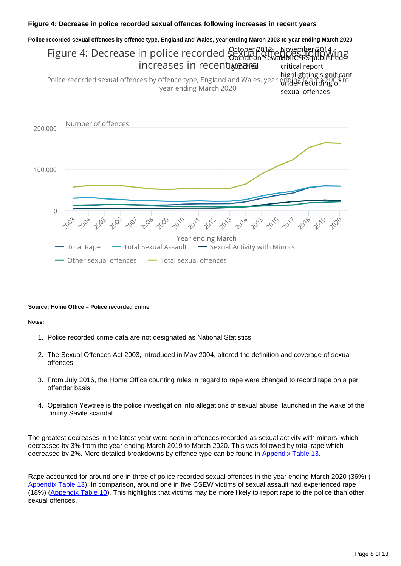#### **Figure 4: Decrease in police recorded sexual offences following increases in recent years**



#### **Source: Home Office – Police recorded crime**

#### **Notes:**

- 1. Police recorded crime data are not designated as National Statistics.
- 2. The Sexual Offences Act 2003, introduced in May 2004, altered the definition and coverage of sexual offences.
- 3. From July 2016, the Home Office counting rules in regard to rape were changed to record rape on a per offender basis.
- 4. Operation Yewtree is the police investigation into allegations of sexual abuse, launched in the wake of the Jimmy Savile scandal.

The greatest decreases in the latest year were seen in offences recorded as sexual activity with minors, which decreased by 3% from the year ending March 2019 to March 2020. This was followed by total rape which decreased by 2%. More detailed breakdowns by offence type can be found in [Appendix Table 13.](https://www.ons.gov.uk/peoplepopulationandcommunity/crimeandjustice/datasets/sexualoffencesprevalenceandvictimcharacteristicsenglandandwales)

Rape accounted for around one in three of police recorded sexual offences in the year ending March 2020 (36%) ( [Appendix Table 13](https://www.ons.gov.uk/peoplepopulationandcommunity/crimeandjustice/datasets/sexualoffencesprevalenceandvictimcharacteristicsenglandandwales)). In comparison, around one in five CSEW victims of sexual assault had experienced rape (18%) ([Appendix Table 10](https://www.ons.gov.uk/peoplepopulationandcommunity/crimeandjustice/datasets/sexualoffencesprevalenceandvictimcharacteristicsenglandandwales)). This highlights that victims may be more likely to report rape to the police than other sexual offences.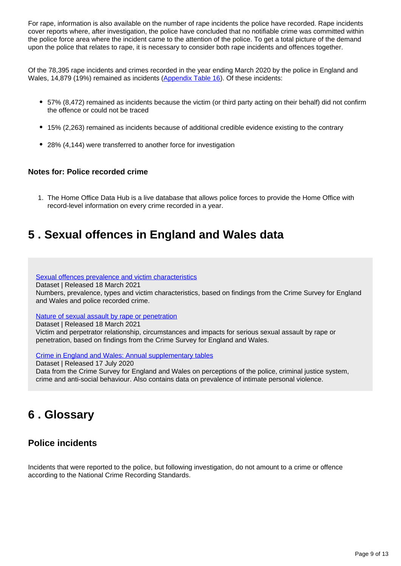For rape, information is also available on the number of rape incidents the police have recorded. Rape incidents cover reports where, after investigation, the police have concluded that no notifiable crime was committed within the police force area where the incident came to the attention of the police. To get a total picture of the demand upon the police that relates to rape, it is necessary to consider both rape incidents and offences together.

Of the 78,395 rape incidents and crimes recorded in the year ending March 2020 by the police in England and Wales, 14,879 (19%) remained as incidents ([Appendix Table 16](https://www.ons.gov.uk/peoplepopulationandcommunity/crimeandjustice/datasets/sexualoffencesprevalenceandvictimcharacteristicsenglandandwales)). Of these incidents:

- 57% (8,472) remained as incidents because the victim (or third party acting on their behalf) did not confirm the offence or could not be traced
- 15% (2,263) remained as incidents because of additional credible evidence existing to the contrary
- 28% (4,144) were transferred to another force for investigation

#### **Notes for: Police recorded crime**

1. The Home Office Data Hub is a live database that allows police forces to provide the Home Office with record-level information on every crime recorded in a year.

## <span id="page-8-0"></span>**5 . Sexual offences in England and Wales data**

[Sexual offences prevalence and victim characteristics](https://www.ons.gov.uk/peoplepopulationandcommunity/crimeandjustice/datasets/sexualoffencesprevalenceandvictimcharacteristicsenglandandwales)

Dataset | Released 18 March 2021

Numbers, prevalence, types and victim characteristics, based on findings from the Crime Survey for England and Wales and police recorded crime.

#### [Nature of sexual assault by rape or penetration](https://www.ons.gov.uk/peoplepopulationandcommunity/crimeandjustice/datasets/natureofsexualassaultbyrapeorpenetrationenglandandwales)

Dataset | Released 18 March 2021

Victim and perpetrator relationship, circumstances and impacts for serious sexual assault by rape or penetration, based on findings from the Crime Survey for England and Wales.

[Crime in England and Wales: Annual supplementary tables](https://www.ons.gov.uk/peoplepopulationandcommunity/crimeandjustice/datasets/crimeinenglandandwalesannualsupplementarytables)

Dataset | Released 17 July 2020 Data from the Crime Survey for England and Wales on perceptions of the police, criminal justice system, crime and anti-social behaviour. Also contains data on prevalence of intimate personal violence.

## <span id="page-8-1"></span>**6 . Glossary**

### **Police incidents**

Incidents that were reported to the police, but following investigation, do not amount to a crime or offence according to the National Crime Recording Standards.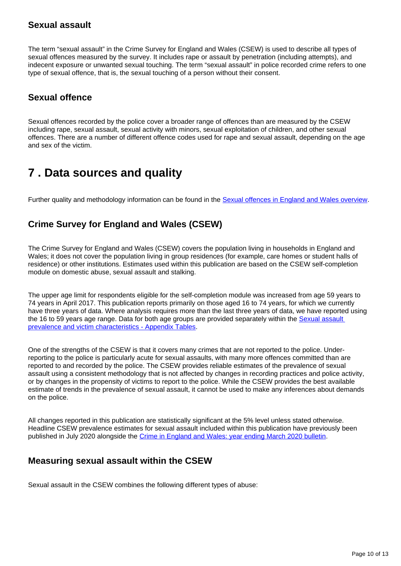### **Sexual assault**

The term "sexual assault" in the Crime Survey for England and Wales (CSEW) is used to describe all types of sexual offences measured by the survey. It includes rape or assault by penetration (including attempts), and indecent exposure or unwanted sexual touching. The term "sexual assault" in police recorded crime refers to one type of sexual offence, that is, the sexual touching of a person without their consent.

### **Sexual offence**

Sexual offences recorded by the police cover a broader range of offences than are measured by the CSEW including rape, sexual assault, sexual activity with minors, sexual exploitation of children, and other sexual offences. There are a number of different offence codes used for rape and sexual assault, depending on the age and sex of the victim.

## <span id="page-9-0"></span>**7 . Data sources and quality**

Further quality and methodology information can be found in the [Sexual offences in England and Wales overview.](https://www.ons.gov.uk/peoplepopulationandcommunity/crimeandjustice/bulletins/sexualoffencesinenglandandwalesoverview/march2020)

### **Crime Survey for England and Wales (CSEW)**

The Crime Survey for England and Wales (CSEW) covers the population living in households in England and Wales; it does not cover the population living in group residences (for example, care homes or student halls of residence) or other institutions. Estimates used within this publication are based on the CSEW self-completion module on domestic abuse, sexual assault and stalking.

The upper age limit for respondents eligible for the self-completion module was increased from age 59 years to 74 years in April 2017. This publication reports primarily on those aged 16 to 74 years, for which we currently have three years of data. Where analysis requires more than the last three years of data, we have reported using the 16 to 59 years age range. Data for both age groups are provided separately within the Sexual assault [prevalence and victim characteristics - Appendix Tables.](https://www.ons.gov.uk/peoplepopulationandcommunity/crimeandjustice/datasets/sexualoffencesprevalenceandvictimcharacteristicsenglandandwales)

One of the strengths of the CSEW is that it covers many crimes that are not reported to the police. Underreporting to the police is particularly acute for sexual assaults, with many more offences committed than are reported to and recorded by the police. The CSEW provides reliable estimates of the prevalence of sexual assault using a consistent methodology that is not affected by changes in recording practices and police activity, or by changes in the propensity of victims to report to the police. While the CSEW provides the best available estimate of trends in the prevalence of sexual assault, it cannot be used to make any inferences about demands on the police.

All changes reported in this publication are statistically significant at the 5% level unless stated otherwise. Headline CSEW prevalence estimates for sexual assault included within this publication have previously been published in July 2020 alongside the [Crime in England and Wales: year ending March 2020 bulletin](https://www.ons.gov.uk/peoplepopulationandcommunity/crimeandjustice/bulletins/crimeinenglandandwales/yearendingmarch2020).

### **Measuring sexual assault within the CSEW**

Sexual assault in the CSEW combines the following different types of abuse: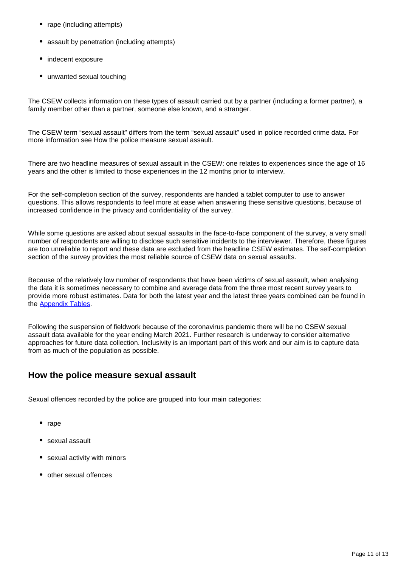- rape (including attempts)
- assault by penetration (including attempts)
- indecent exposure
- unwanted sexual touching

The CSEW collects information on these types of assault carried out by a partner (including a former partner), a family member other than a partner, someone else known, and a stranger.

The CSEW term "sexual assault" differs from the term "sexual assault" used in police recorded crime data. For more information see How the police measure sexual assault.

There are two headline measures of sexual assault in the CSEW: one relates to experiences since the age of 16 years and the other is limited to those experiences in the 12 months prior to interview.

For the self-completion section of the survey, respondents are handed a tablet computer to use to answer questions. This allows respondents to feel more at ease when answering these sensitive questions, because of increased confidence in the privacy and confidentiality of the survey.

While some questions are asked about sexual assaults in the face-to-face component of the survey, a very small number of respondents are willing to disclose such sensitive incidents to the interviewer. Therefore, these figures are too unreliable to report and these data are excluded from the headline CSEW estimates. The self-completion section of the survey provides the most reliable source of CSEW data on sexual assaults.

Because of the relatively low number of respondents that have been victims of sexual assault, when analysing the data it is sometimes necessary to combine and average data from the three most recent survey years to provide more robust estimates. Data for both the latest year and the latest three years combined can be found in the [Appendix Tables.](https://www.ons.gov.uk/peoplepopulationandcommunity/crimeandjustice/datasets/sexualoffencesprevalenceandvictimcharacteristicsenglandandwales)

Following the suspension of fieldwork because of the coronavirus pandemic there will be no CSEW sexual assault data available for the year ending March 2021. Further research is underway to consider alternative approaches for future data collection. Inclusivity is an important part of this work and our aim is to capture data from as much of the population as possible.

### **How the police measure sexual assault**

Sexual offences recorded by the police are grouped into four main categories:

- rape
- sexual assault
- sexual activity with minors
- other sexual offences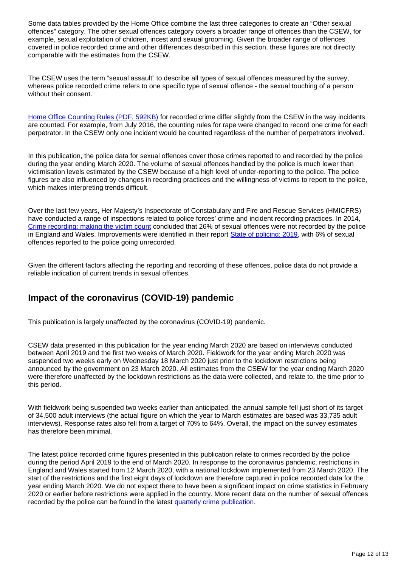Some data tables provided by the Home Office combine the last three categories to create an "Other sexual offences" category. The other sexual offences category covers a broader range of offences than the CSEW, for example, sexual exploitation of children, incest and sexual grooming. Given the broader range of offences covered in police recorded crime and other differences described in this section, these figures are not directly comparable with the estimates from the CSEW.

The CSEW uses the term "sexual assault" to describe all types of sexual offences measured by the survey, whereas police recorded crime refers to one specific type of sexual offence - the sexual touching of a person without their consent.

[Home Office Counting Rules \(PDF, 592KB\)](https://assets.publishing.service.gov.uk/government/uploads/system/uploads/attachment_data/file/877790/count-sexual-apr-2020.pdf) for recorded crime differ slightly from the CSEW in the way incidents are counted. For example, from July 2016, the counting rules for rape were changed to record one crime for each perpetrator. In the CSEW only one incident would be counted regardless of the number of perpetrators involved.

In this publication, the police data for sexual offences cover those crimes reported to and recorded by the police during the year ending March 2020. The volume of sexual offences handled by the police is much lower than victimisation levels estimated by the CSEW because of a high level of under-reporting to the police. The police figures are also influenced by changes in recording practices and the willingness of victims to report to the police, which makes interpreting trends difficult.

Over the last few years, Her Majesty's Inspectorate of Constabulary and Fire and Rescue Services (HMICFRS) have conducted a range of inspections related to police forces' crime and incident recording practices. In 2014, [Crime recording: making the victim count](https://www.justiceinspectorates.gov.uk/hmicfrs/publications/crime-recording-making-the-victim-count/) concluded that 26% of sexual offences were not recorded by the police in England and Wales. Improvements were identified in their report [State of policing: 2019](https://www.justiceinspectorates.gov.uk/hmicfrs/publications/state-of-policing-the-annual-assessment-of-policing-in-england-and-wales-2019/), with 6% of sexual offences reported to the police going unrecorded.

Given the different factors affecting the reporting and recording of these offences, police data do not provide a reliable indication of current trends in sexual offences.

### **Impact of the coronavirus (COVID-19) pandemic**

This publication is largely unaffected by the coronavirus (COVID-19) pandemic.

CSEW data presented in this publication for the year ending March 2020 are based on interviews conducted between April 2019 and the first two weeks of March 2020. Fieldwork for the year ending March 2020 was suspended two weeks early on Wednesday 18 March 2020 just prior to the lockdown restrictions being announced by the government on 23 March 2020. All estimates from the CSEW for the year ending March 2020 were therefore unaffected by the lockdown restrictions as the data were collected, and relate to, the time prior to this period.

With fieldwork being suspended two weeks earlier than anticipated, the annual sample fell just short of its target of 34,500 adult interviews (the actual figure on which the year to March estimates are based was 33,735 adult interviews). Response rates also fell from a target of 70% to 64%. Overall, the impact on the survey estimates has therefore been minimal.

The latest police recorded crime figures presented in this publication relate to crimes recorded by the police during the period April 2019 to the end of March 2020. In response to the coronavirus pandemic, restrictions in England and Wales started from 12 March 2020, with a national lockdown implemented from 23 March 2020. The start of the restrictions and the first eight days of lockdown are therefore captured in police recorded data for the year ending March 2020. We do not expect there to have been a significant impact on crime statistics in February 2020 or earlier before restrictions were applied in the country. More recent data on the number of sexual offences recorded by the police can be found in the latest [quarterly crime publication](https://www.ons.gov.uk/peoplepopulationandcommunity/crimeandjustice/bulletins/crimeinenglandandwales/yearendingseptember2020).